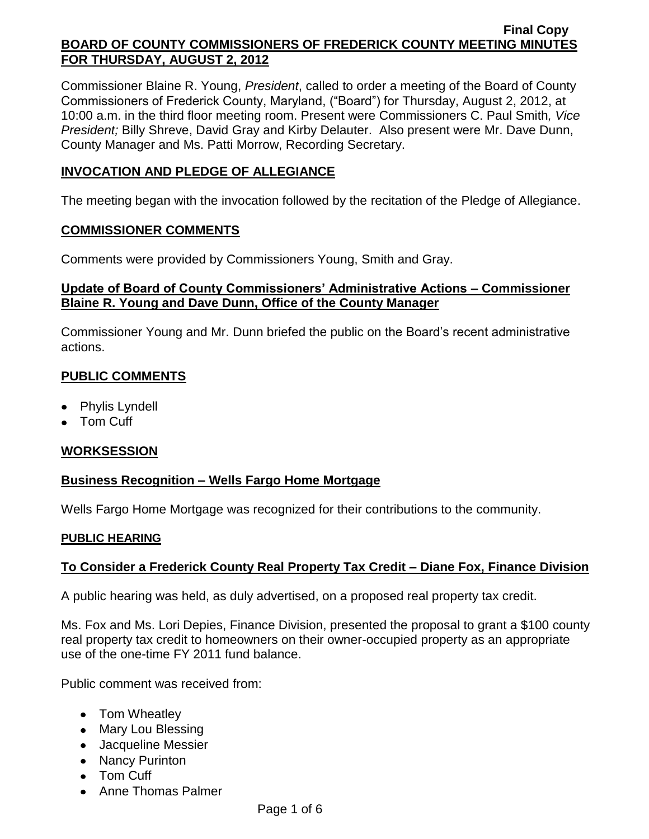Commissioner Blaine R. Young, *President*, called to order a meeting of the Board of County Commissioners of Frederick County, Maryland, ("Board") for Thursday, August 2, 2012, at 10:00 a.m. in the third floor meeting room. Present were Commissioners C. Paul Smith*, Vice President;* Billy Shreve, David Gray and Kirby Delauter. Also present were Mr. Dave Dunn, County Manager and Ms. Patti Morrow, Recording Secretary.

## **INVOCATION AND PLEDGE OF ALLEGIANCE**

The meeting began with the invocation followed by the recitation of the Pledge of Allegiance.

## **COMMISSIONER COMMENTS**

Comments were provided by Commissioners Young, Smith and Gray.

# **Update of Board of County Commissioners' Administrative Actions – Commissioner Blaine R. Young and Dave Dunn, Office of the County Manager**

Commissioner Young and Mr. Dunn briefed the public on the Board's recent administrative actions.

# **PUBLIC COMMENTS**

- Phylis Lyndell
- Tom Cuff

# **WORKSESSION**

# **Business Recognition – Wells Fargo Home Mortgage**

Wells Fargo Home Mortgage was recognized for their contributions to the community.

## **PUBLIC HEARING**

# **To Consider a Frederick County Real Property Tax Credit – Diane Fox, Finance Division**

A public hearing was held, as duly advertised, on a proposed real property tax credit.

Ms. Fox and Ms. Lori Depies, Finance Division, presented the proposal to grant a \$100 county real property tax credit to homeowners on their owner-occupied property as an appropriate use of the one-time FY 2011 fund balance.

Public comment was received from:

- Tom Wheatley
- Mary Lou Blessing
- Jacqueline Messier
- Nancy Purinton
- Tom Cuff
- Anne Thomas Palmer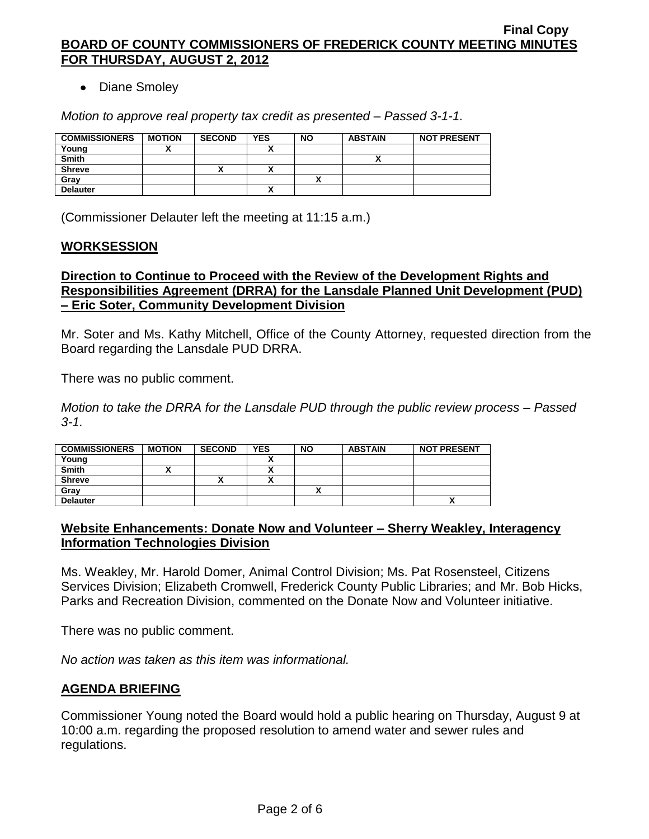## • Diane Smoley

*Motion to approve real property tax credit as presented – Passed 3-1-1.*

| <b>COMMISSIONERS</b> | <b>MOTION</b> | <b>SECOND</b> | <b>YES</b>   | <b>NO</b> | <b>ABSTAIN</b> | <b>NOT PRESENT</b> |
|----------------------|---------------|---------------|--------------|-----------|----------------|--------------------|
| Young                |               |               |              |           |                |                    |
| <b>Smith</b>         |               |               |              |           |                |                    |
| <b>Shreve</b>        |               | '             |              |           |                |                    |
| Grav                 |               |               |              |           |                |                    |
| <b>Delauter</b>      |               |               | $\mathbf{v}$ |           |                |                    |

(Commissioner Delauter left the meeting at 11:15 a.m.)

#### **WORKSESSION**

### **Direction to Continue to Proceed with the Review of the Development Rights and Responsibilities Agreement (DRRA) for the Lansdale Planned Unit Development (PUD) – Eric Soter, Community Development Division**

Mr. Soter and Ms. Kathy Mitchell, Office of the County Attorney, requested direction from the Board regarding the Lansdale PUD DRRA.

There was no public comment.

*Motion to take the DRRA for the Lansdale PUD through the public review process – Passed 3-1.*

| <b>COMMISSIONERS</b> | <b>MOTION</b> | <b>SECOND</b> | <b>YES</b> | <b>NO</b> | <b>ABSTAIN</b> | <b>NOT PRESENT</b> |
|----------------------|---------------|---------------|------------|-----------|----------------|--------------------|
| Young                |               |               |            |           |                |                    |
| <b>Smith</b>         |               |               |            |           |                |                    |
| <b>Shreve</b>        |               |               |            |           |                |                    |
| Grav                 |               |               |            |           |                |                    |
| <b>Delauter</b>      |               |               |            |           |                | Λ                  |

## **Website Enhancements: Donate Now and Volunteer – Sherry Weakley, Interagency Information Technologies Division**

Ms. Weakley, Mr. Harold Domer, Animal Control Division; Ms. Pat Rosensteel, Citizens Services Division; Elizabeth Cromwell, Frederick County Public Libraries; and Mr. Bob Hicks, Parks and Recreation Division, commented on the Donate Now and Volunteer initiative.

There was no public comment.

*No action was taken as this item was informational.*

## **AGENDA BRIEFING**

Commissioner Young noted the Board would hold a public hearing on Thursday, August 9 at 10:00 a.m. regarding the proposed resolution to amend water and sewer rules and regulations.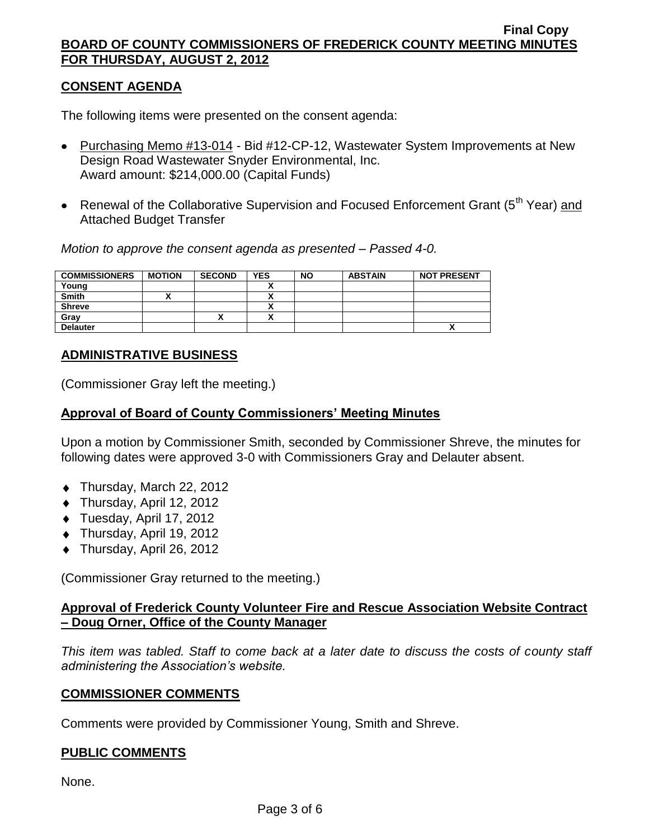## **CONSENT AGENDA**

The following items were presented on the consent agenda:

- Purchasing Memo #13-014 Bid #12-CP-12, Wastewater System Improvements at New Design Road Wastewater Snyder Environmental, Inc. Award amount: \$214,000.00 (Capital Funds)
- Renewal of the Collaborative Supervision and Focused Enforcement Grant ( $5<sup>th</sup>$  Year) and Attached Budget Transfer

*Motion to approve the consent agenda as presented – Passed 4-0.*

| <b>COMMISSIONERS</b> | <b>MOTION</b> | <b>SECOND</b> | <b>YES</b>           | <b>NO</b> | <b>ABSTAIN</b> | <b>NOT PRESENT</b> |
|----------------------|---------------|---------------|----------------------|-----------|----------------|--------------------|
| Young                |               |               |                      |           |                |                    |
| <b>Smith</b>         |               |               |                      |           |                |                    |
| <b>Shreve</b>        |               |               |                      |           |                |                    |
| Grav                 |               |               | $\ddot{\phantom{1}}$ |           |                |                    |
| <b>Delauter</b>      |               |               |                      |           |                | Λ                  |

# **ADMINISTRATIVE BUSINESS**

(Commissioner Gray left the meeting.)

## **Approval of Board of County Commissioners' Meeting Minutes**

Upon a motion by Commissioner Smith, seconded by Commissioner Shreve, the minutes for following dates were approved 3-0 with Commissioners Gray and Delauter absent.

- ◆ Thursday, March 22, 2012
- ◆ Thursday, April 12, 2012
- ◆ Tuesday, April 17, 2012
- Thursday, April 19, 2012
- ◆ Thursday, April 26, 2012

(Commissioner Gray returned to the meeting.)

# **Approval of Frederick County Volunteer Fire and Rescue Association Website Contract – Doug Orner, Office of the County Manager**

*This item was tabled. Staff to come back at a later date to discuss the costs of county staff administering the Association's website.*

## **COMMISSIONER COMMENTS**

Comments were provided by Commissioner Young, Smith and Shreve.

## **PUBLIC COMMENTS**

None.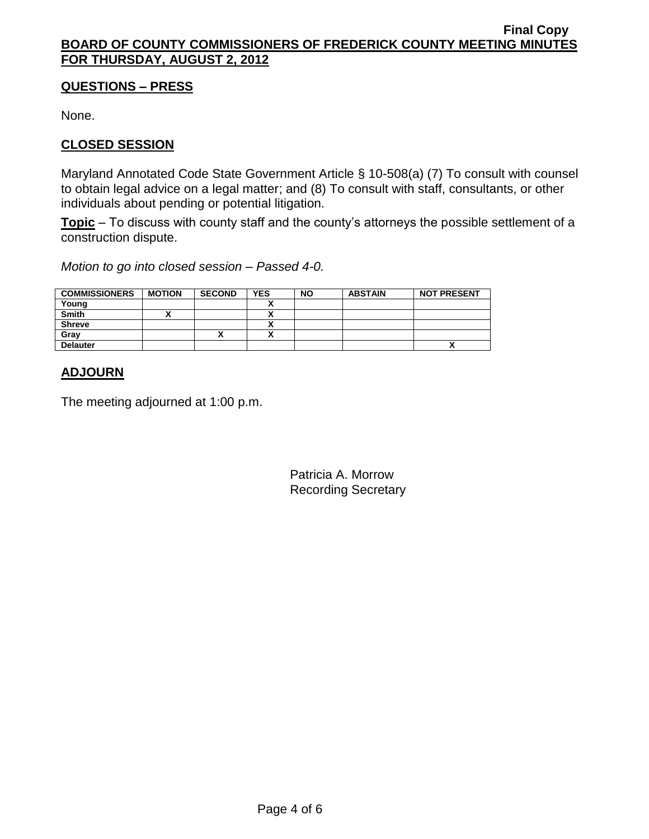## **QUESTIONS – PRESS**

None.

# **CLOSED SESSION**

Maryland Annotated Code State Government Article § 10-508(a) (7) To consult with counsel to obtain legal advice on a legal matter; and (8) To consult with staff, consultants, or other individuals about pending or potential litigation.

**Topic** – To discuss with county staff and the county's attorneys the possible settlement of a construction dispute.

*Motion to go into closed session – Passed 4-0.*

| <b>COMMISSIONERS</b> | <b>MOTION</b> | <b>SECOND</b> | <b>YES</b> | <b>NO</b> | <b>ABSTAIN</b> | <b>NOT PRESENT</b> |
|----------------------|---------------|---------------|------------|-----------|----------------|--------------------|
| Young                |               |               |            |           |                |                    |
| <b>Smith</b>         |               |               |            |           |                |                    |
| <b>Shreve</b>        |               |               |            |           |                |                    |
| Grav                 |               |               |            |           |                |                    |
| <b>Delauter</b>      |               |               |            |           |                | ~                  |

# **ADJOURN**

The meeting adjourned at 1:00 p.m.

Patricia A. Morrow Recording Secretary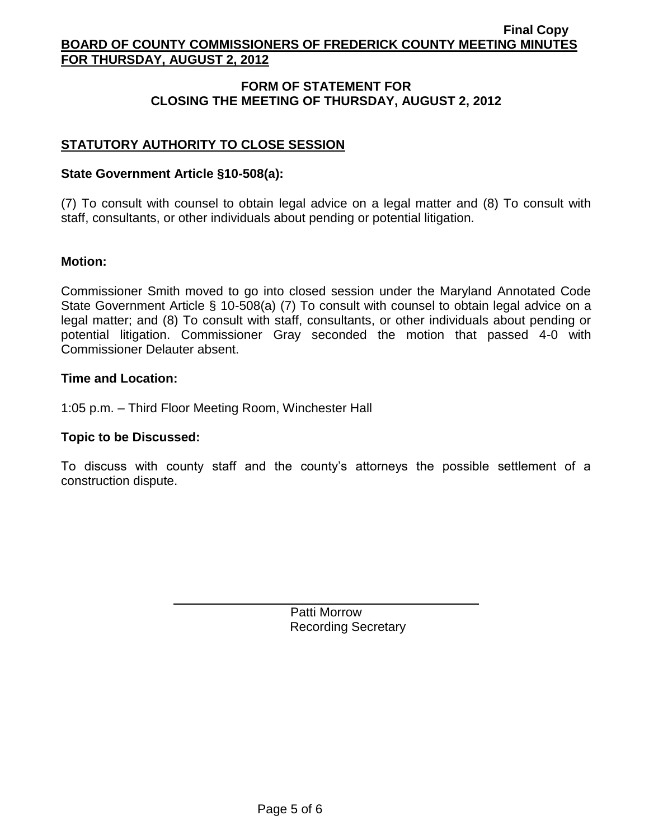# **FORM OF STATEMENT FOR CLOSING THE MEETING OF THURSDAY, AUGUST 2, 2012**

# **STATUTORY AUTHORITY TO CLOSE SESSION**

#### **State Government Article §10-508(a):**

(7) To consult with counsel to obtain legal advice on a legal matter and (8) To consult with staff, consultants, or other individuals about pending or potential litigation.

#### **Motion:**

Commissioner Smith moved to go into closed session under the Maryland Annotated Code State Government Article § 10-508(a) (7) To consult with counsel to obtain legal advice on a legal matter; and (8) To consult with staff, consultants, or other individuals about pending or potential litigation. Commissioner Gray seconded the motion that passed 4-0 with Commissioner Delauter absent.

#### **Time and Location:**

1:05 p.m. – Third Floor Meeting Room, Winchester Hall

#### **Topic to be Discussed:**

To discuss with county staff and the county's attorneys the possible settlement of a construction dispute.

> Patti Morrow Recording Secretary